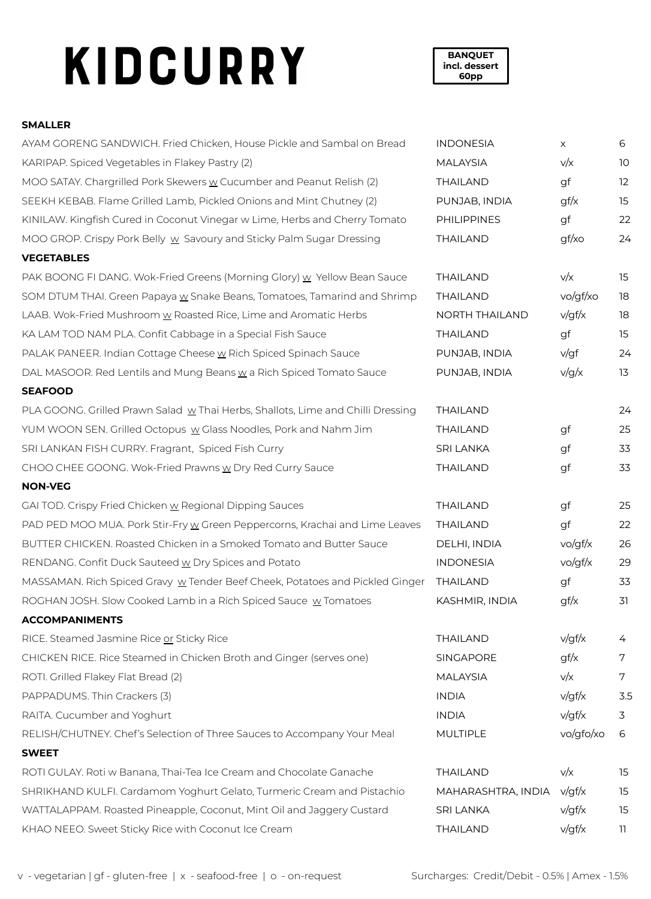# KIDCURRY

**BANQUET incl. dessert 60pp**

### **SMALLER**

| AYAM GORENG SANDWICH. Fried Chicken, House Pickle and Sambal on Bread           | <b>INDONESIA</b>      | $\times$  | 6   |
|---------------------------------------------------------------------------------|-----------------------|-----------|-----|
| KARIPAP. Spiced Vegetables in Flakey Pastry (2)                                 | <b>MALAYSIA</b>       | v/x       | 10  |
| MOO SATAY. Chargrilled Pork Skewers w Cucumber and Peanut Relish (2)            | <b>THAILAND</b>       | gf        | 12  |
| SEEKH KEBAB. Flame Grilled Lamb, Pickled Onions and Mint Chutney (2)            | PUNJAB, INDIA         | gf/x      | 15  |
| KINILAW. Kingfish Cured in Coconut Vinegar w Lime, Herbs and Cherry Tomato      | <b>PHILIPPINES</b>    | gf        | 22  |
| MOO GROP. Crispy Pork Belly w Savoury and Sticky Palm Sugar Dressing            | <b>THAILAND</b>       | gf/xo     | 24  |
| <b>VEGETABLES</b>                                                               |                       |           |     |
| PAK BOONG FI DANG. Wok-Fried Greens (Morning Glory) w Yellow Bean Sauce         | <b>THAILAND</b>       | v/x       | 15  |
| SOM DTUM THAI. Green Papaya w Snake Beans, Tomatoes, Tamarind and Shrimp        | <b>THAILAND</b>       | vo/gf/xo  | 18  |
| LAAB. Wok-Fried Mushroom w Roasted Rice, Lime and Aromatic Herbs                | <b>NORTH THAILAND</b> | v/gf/x    | 18  |
| KA LAM TOD NAM PLA. Confit Cabbage in a Special Fish Sauce                      | <b>THAILAND</b>       | gf        | 15  |
| PALAK PANEER. Indian Cottage Cheese w Rich Spiced Spinach Sauce                 | PUNJAB, INDIA         | v/gf      | 24  |
| DAL MASOOR. Red Lentils and Mung Beans w a Rich Spiced Tomato Sauce             | PUNJAB, INDIA         | v/g/x     | 13  |
| <b>SEAFOOD</b>                                                                  |                       |           |     |
| PLA GOONG. Grilled Prawn Salad w Thai Herbs, Shallots, Lime and Chilli Dressing | <b>THAILAND</b>       |           | 24  |
| YUM WOON SEN. Grilled Octopus w Glass Noodles, Pork and Nahm Jim                | <b>THAILAND</b>       | gf        | 25  |
| SRI LANKAN FISH CURRY. Fragrant, Spiced Fish Curry                              | <b>SRI LANKA</b>      | gf        | 33  |
| CHOO CHEE GOONG. Wok-Fried Prawns w Dry Red Curry Sauce                         | THAILAND              | gf        | 33  |
| <b>NON-VEG</b>                                                                  |                       |           |     |
| GAI TOD. Crispy Fried Chicken w Regional Dipping Sauces                         | <b>THAILAND</b>       | gf        | 25  |
| PAD PED MOO MUA. Pork Stir-Fry w Green Peppercorns, Krachai and Lime Leaves     | <b>THAILAND</b>       | gf        | 22  |
| BUTTER CHICKEN. Roasted Chicken in a Smoked Tomato and Butter Sauce             | DELHI, INDIA          | vo/gf/x   | 26  |
| RENDANG. Confit Duck Sauteed w Dry Spices and Potato                            | <b>INDONESIA</b>      | vo/gf/x   | 29  |
| MASSAMAN. Rich Spiced Gravy w Tender Beef Cheek, Potatoes and Pickled Ginger    | <b>THAILAND</b>       | gf        | 33  |
| ROGHAN JOSH. Slow Cooked Lamb in a Rich Spiced Sauce w Tomatoes                 | KASHMIR, INDIA        | gf/x      | 31  |
| <b>ACCOMPANIMENTS</b>                                                           |                       |           |     |
| RICE. Steamed Jasmine Rice or Sticky Rice                                       | <b>THAILAND</b>       | v/gf/x    | 4   |
| CHICKEN RICE. Rice Steamed in Chicken Broth and Ginger (serves one)             | SINGAPORE             | gf/x      | 7   |
| ROTI. Grilled Flakey Flat Bread (2)                                             | <b>MALAYSIA</b>       | v/x       | 7   |
| PAPPADUMS. Thin Crackers (3)                                                    | <b>INDIA</b>          | v/gf/x    | 3.5 |
| RAITA. Cucumber and Yoghurt                                                     | <b>INDIA</b>          | v/gf/x    | 3   |
| RELISH/CHUTNEY. Chef's Selection of Three Sauces to Accompany Your Meal         | <b>MULTIPLE</b>       | vo/gfo/xo | 6   |
| <b>SWEET</b>                                                                    |                       |           |     |
| ROTI GULAY. Roti w Banana, Thai-Tea Ice Cream and Chocolate Ganache             | <b>THAILAND</b>       | v/x       | 15  |
| SHRIKHAND KULFI. Cardamom Yoghurt Gelato, Turmeric Cream and Pistachio          | MAHARASHTRA, INDIA    | v/gf/x    | 15  |
| WATTALAPPAM. Roasted Pineapple, Coconut, Mint Oil and Jaggery Custard           | <b>SRI LANKA</b>      | v/gf/x    | 15  |
| KHAO NEEO. Sweet Sticky Rice with Coconut Ice Cream                             | THAILAND              | v/gf/x    | 11  |